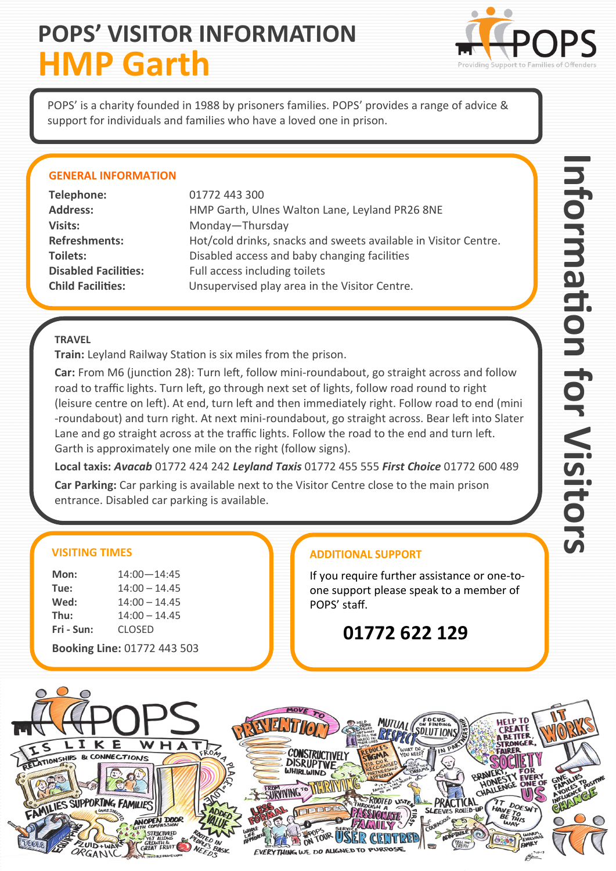## **POPS' VISITOR INFORMATION HMP Garth**



POPS' is a charity founded in 1988 by prisoners families. POPS' provides a range of advice & support for individuals and families who have a loved one in prison.

### **GENERAL INFORMATION**

| Telephone:                  | 01772 443 300                                                   |
|-----------------------------|-----------------------------------------------------------------|
| <b>Address:</b>             | HMP Garth, Ulnes Walton Lane, Leyland PR26 8NE                  |
| Visits:                     | Monday-Thursday                                                 |
| <b>Refreshments:</b>        | Hot/cold drinks, snacks and sweets available in Visitor Centre. |
| Toilets:                    | Disabled access and baby changing facilities                    |
| <b>Disabled Facilities:</b> | Full access including toilets                                   |
| <b>Child Facilities:</b>    | Unsupervised play area in the Visitor Centre.                   |
|                             |                                                                 |

### **TRAVEL**

**Train:** Leyland Railway Station is six miles from the prison.

**Car:** From M6 (junction 28): Turn left, follow mini-roundabout, go straight across and follow road to traffic lights. Turn left, go through next set of lights, follow road round to right (leisure centre on left). At end, turn left and then immediately right. Follow road to end (mini -roundabout) and turn right. At next mini-roundabout, go straight across. Bear left into Slater Lane and go straight across at the traffic lights. Follow the road to the end and turn left. Garth is approximately one mile on the right (follow signs).

**Local taxis:** *Avacab* 01772 424 242 *Leyland Taxis* 01772 455 555 *First Choice* 01772 600 489

**Car Parking:** Car parking is available next to the Visitor Centre close to the main prison entrance. Disabled car parking is available.

### **VISITING TIMES**

| Mon:                        | $14:00 - 14:45$ |  |
|-----------------------------|-----------------|--|
| Tue:                        | $14:00 - 14.45$ |  |
| Wed:                        | $14:00 - 14.45$ |  |
| Thu:                        | $14:00 - 14.45$ |  |
| Fri - Sun:                  | <b>CLOSED</b>   |  |
| Booking Line: 01772 443 503 |                 |  |

**ADDITIONAL SUPPORT** 

If you require further assistance or one-toone support please speak to a member of POPS' staff.

**01772 622 129**